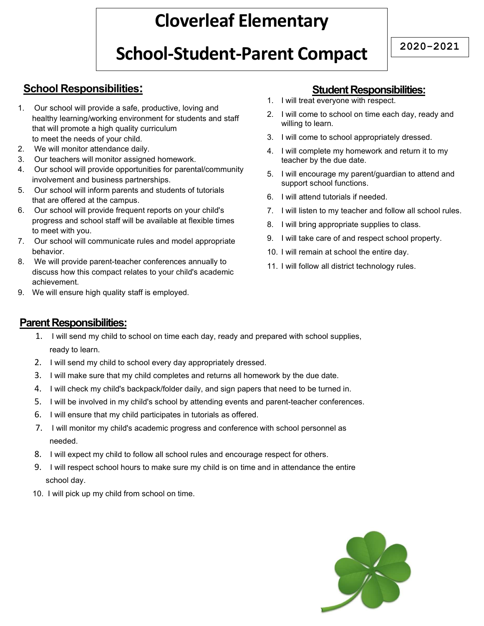## Cloverleaf Elementary

# School-Student-Parent Compact 2020-2021

### School Responsibilities:

- 1. Our school will provide a safe, productive, loving and healthy learning/working environment for students and staff that will promote a high quality curriculum to meet the needs of your child.
- 2. We will monitor attendance daily.
- 3. Our teachers will monitor assigned homework.
- 4. Our school will provide opportunities for parental/community involvement and business partnerships.
- 5. Our school will inform parents and students of tutorials that are offered at the campus.
- 6. Our school will provide frequent reports on your child's progress and school staff will be available at flexible times to meet with you.
- 7. Our school will communicate rules and model appropriate behavior.
- 8. We will provide parent-teacher conferences annually to discuss how this compact relates to your child's academic achievement.
- 9. We will ensure high quality staff is employed.

### Student Responsibilities:

- 1. I will treat everyone with respect.
- 2. I will come to school on time each day, ready and willing to learn.
- 3. I will come to school appropriately dressed.
- 4. I will complete my homework and return it to my teacher by the due date.
- 5. I will encourage my parent/guardian to attend and support school functions.
- 6. I will attend tutorials if needed.
- 7. I will listen to my teacher and follow all school rules.
- 8. I will bring appropriate supplies to class.
- 9. I will take care of and respect school property.
- 10. I will remain at school the entire day.
- 11. I will follow all district technology rules.

### Parent Responsibilities:

- 1. I will send my child to school on time each day, ready and prepared with school supplies, ready to learn.
- 2. I will send my child to school every day appropriately dressed.
- 3. I will make sure that my child completes and returns all homework by the due date.
- 4. I will check my child's backpack/folder daily, and sign papers that need to be turned in.
- 5. I will be involved in my child's school by attending events and parent-teacher conferences.
- 6. I will ensure that my child participates in tutorials as offered.
- 7. I will monitor my child's academic progress and conference with school personnel as needed.
- 8. I will expect my child to follow all school rules and encourage respect for others.
- 9. I will respect school hours to make sure my child is on time and in attendance the entire school day.
- 10. I will pick up my child from school on time.